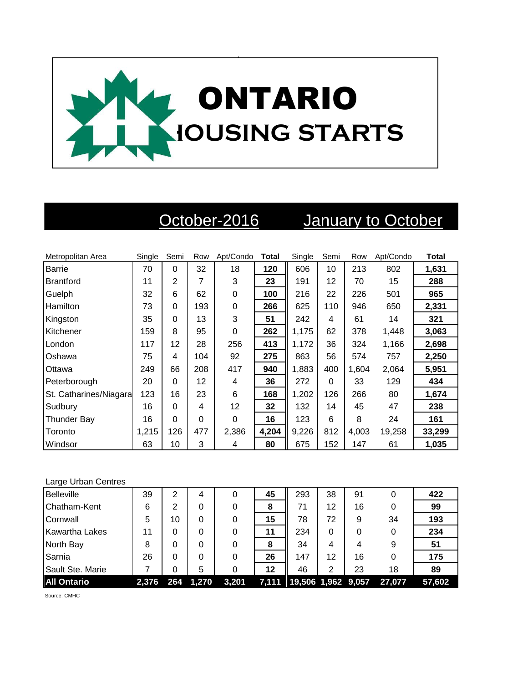

October-2016 January to October

| Metropolitan Area      | Single | Semi     | Row | Apt/Condo | <b>Total</b> | Single | Semi     | Row   | Apt/Condo | <b>Total</b> |
|------------------------|--------|----------|-----|-----------|--------------|--------|----------|-------|-----------|--------------|
| <b>Barrie</b>          | 70     | $\Omega$ | 32  | 18        | 120          | 606    | 10       | 213   | 802       | 1,631        |
| <b>Brantford</b>       | 11     | 2        | 7   | 3         | 23           | 191    | 12       | 70    | 15        | 288          |
| Guelph                 | 32     | 6        | 62  | 0         | 100          | 216    | 22       | 226   | 501       | 965          |
| <b>Hamilton</b>        | 73     | $\Omega$ | 193 | 0         | 266          | 625    | 110      | 946   | 650       | 2,331        |
| Kingston               | 35     | $\Omega$ | 13  | 3         | 51           | 242    | 4        | 61    | 14        | 321          |
| Kitchener              | 159    | 8        | 95  | 0         | 262          | 1,175  | 62       | 378   | 1,448     | 3,063        |
| London                 | 117    | 12       | 28  | 256       | 413          | 1,172  | 36       | 324   | 1,166     | 2,698        |
| Oshawa                 | 75     | 4        | 104 | 92        | 275          | 863    | 56       | 574   | 757       | 2,250        |
| Ottawa                 | 249    | 66       | 208 | 417       | 940          | 1,883  | 400      | 1,604 | 2,064     | 5,951        |
| Peterborough           | 20     | $\Omega$ | 12  | 4         | 36           | 272    | $\Omega$ | 33    | 129       | 434          |
| St. Catharines/Niagara | 123    | 16       | 23  | 6         | 168          | 1,202  | 126      | 266   | 80        | 1,674        |
| Sudbury                | 16     | $\Omega$ | 4   | 12        | 32           | 132    | 14       | 45    | 47        | 238          |
| <b>Thunder Bay</b>     | 16     | 0        | 0   | 0         | 16           | 123    | 6        | 8     | 24        | 161          |
| Toronto                | 1.215  | 126      | 477 | 2,386     | 4,204        | 9,226  | 812      | 4,003 | 19,258    | 33,299       |
| Windsor                | 63     | 10       | 3   | 4         | 80           | 675    | 152      | 147   | 61        | 1,035        |

## Large Urban Centres

| <b>Belleville</b>     | 39    | 2   | 4     | 0     | 45 | 293                        | 38 | 91 | 0      | 422    |
|-----------------------|-------|-----|-------|-------|----|----------------------------|----|----|--------|--------|
| Chatham-Kent          | 6     | 2   | 0     | 0     | 8  | 71                         | 12 | 16 | 0      | 99     |
| Cornwall              | 5     | 10  | 0     | 0     | 15 | 78                         | 72 | 9  | 34     | 193    |
| <b>Kawartha Lakes</b> | 11    | 0   | 0     |       | 11 | 234                        | 0  |    | 0      | 234    |
| North Bay             | 8     | 0   | 0     |       | 8  | 34                         | 4  | 4  | 9      | 51     |
| Sarnia                | 26    | 0   | 0     | 0     | 26 | 147                        | 12 | 16 | 0      | 175    |
| Sault Ste. Marie      |       | 0   | 5     |       | 12 | 46                         | 2  | 23 | 18     | 89     |
| <b>All Ontario</b>    | 2,376 | 264 | 1,270 | 3,201 |    | 7,111   19,506 1,962 9,057 |    |    | 27,077 | 57,602 |

Source: CMHC